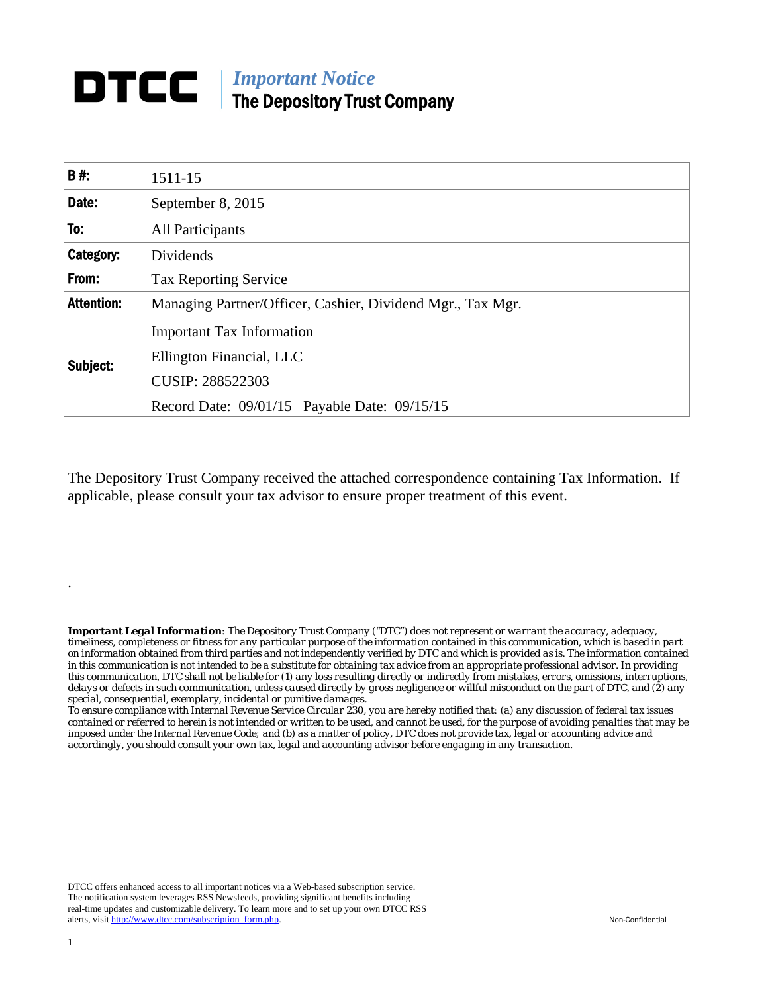## *Important Notice*  DTCC | The Depository Trust Company

| <b>B#:</b>        | 1511-15                                                                                 |
|-------------------|-----------------------------------------------------------------------------------------|
| Date:             | September 8, 2015                                                                       |
| To:               | <b>All Participants</b>                                                                 |
| Category:         | Dividends                                                                               |
| From:             | <b>Tax Reporting Service</b>                                                            |
| <b>Attention:</b> | Managing Partner/Officer, Cashier, Dividend Mgr., Tax Mgr.                              |
| Subject:          | <b>Important Tax Information</b><br>Ellington Financial, LLC<br><b>CUSIP: 288522303</b> |
|                   | Record Date: 09/01/15 Payable Date: 09/15/15                                            |

The Depository Trust Company received the attached correspondence containing Tax Information. If applicable, please consult your tax advisor to ensure proper treatment of this event.

*Important Legal Information: The Depository Trust Company ("DTC") does not represent or warrant the accuracy, adequacy, timeliness, completeness or fitness for any particular purpose of the information contained in this communication, which is based in part on information obtained from third parties and not independently verified by DTC and which is provided as is. The information contained in this communication is not intended to be a substitute for obtaining tax advice from an appropriate professional advisor. In providing this communication, DTC shall not be liable for (1) any loss resulting directly or indirectly from mistakes, errors, omissions, interruptions, delays or defects in such communication, unless caused directly by gross negligence or willful misconduct on the part of DTC, and (2) any special, consequential, exemplary, incidental or punitive damages.* 

*To ensure compliance with Internal Revenue Service Circular 230, you are hereby notified that: (a) any discussion of federal tax issues contained or referred to herein is not intended or written to be used, and cannot be used, for the purpose of avoiding penalties that may be imposed under the Internal Revenue Code; and (b) as a matter of policy, DTC does not provide tax, legal or accounting advice and accordingly, you should consult your own tax, legal and accounting advisor before engaging in any transaction.*

DTCC offers enhanced access to all important notices via a Web-based subscription service. The notification system leverages RSS Newsfeeds, providing significant benefits including real-time updates and customizable delivery. To learn more and to set up your own DTCC RSS alerts, visit http://www.dtcc.com/subscription\_form.php. Non-Confidential

.